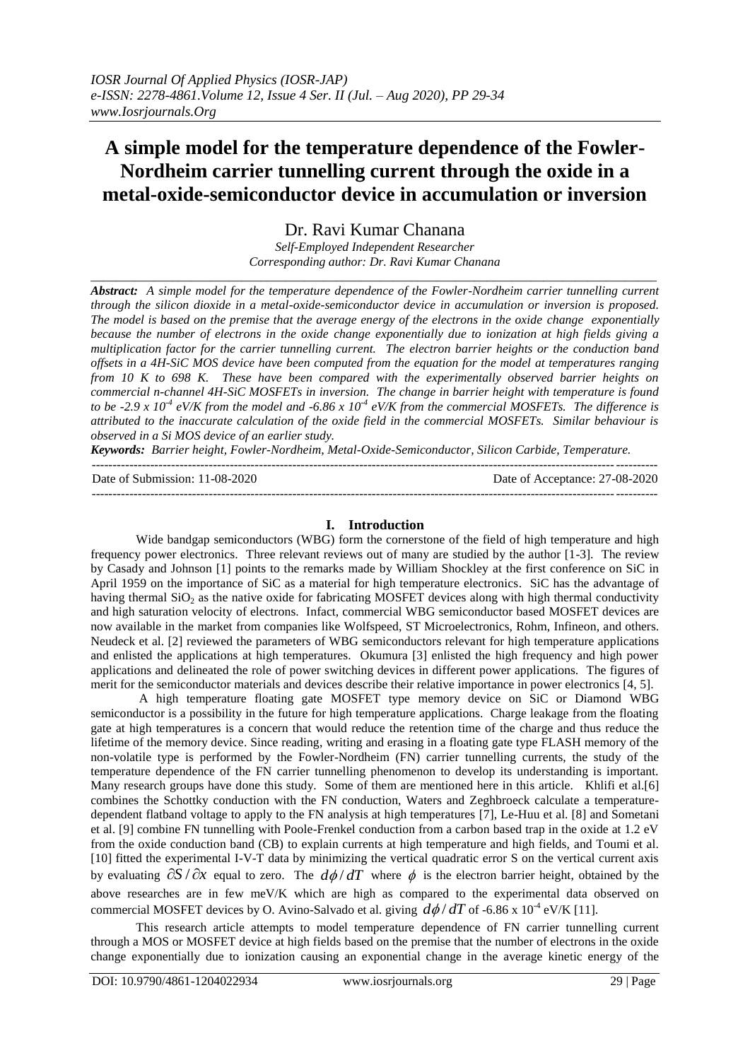# **A simple model for the temperature dependence of the Fowler-Nordheim carrier tunnelling current through the oxide in a metal-oxide-semiconductor device in accumulation or inversion**

Dr. Ravi Kumar Chanana

*Self-Employed Independent Researcher Corresponding author: Dr. Ravi Kumar Chanana* \_\_\_\_\_\_\_\_\_\_\_\_\_\_\_\_\_\_\_\_\_\_\_\_\_\_\_\_\_\_\_\_\_\_\_\_\_\_\_\_\_\_\_\_\_\_\_\_\_\_\_\_\_\_\_\_\_\_\_\_\_\_\_\_\_\_\_\_\_\_\_\_\_\_\_\_\_\_\_\_\_\_\_\_\_\_\_\_\_\_

*Abstract: A simple model for the temperature dependence of the Fowler-Nordheim carrier tunnelling current through the silicon dioxide in a metal-oxide-semiconductor device in accumulation or inversion is proposed. The model is based on the premise that the average energy of the electrons in the oxide change exponentially because the number of electrons in the oxide change exponentially due to ionization at high fields giving a multiplication factor for the carrier tunnelling current. The electron barrier heights or the conduction band offsets in a 4H-SiC MOS device have been computed from the equation for the model at temperatures ranging from 10 K to 698 K. These have been compared with the experimentally observed barrier heights on commercial n-channel 4H-SiC MOSFETs in inversion. The change in barrier height with temperature is found to be -2.9 x 10-4 eV/K from the model and -6.86 x 10-4 eV/K from the commercial MOSFETs. The difference is attributed to the inaccurate calculation of the oxide field in the commercial MOSFETs. Similar behaviour is observed in a Si MOS device of an earlier study.*

*Keywords: Barrier height, Fowler-Nordheim, Metal-Oxide-Semiconductor, Silicon Carbide, Temperature.*  ---------------------------------------------------------------------------------------------------------------------------------------

Date of Submission: 11-08-2020 Date of Acceptance: 27-08-2020

---------------------------------------------------------------------------------------------------------------------------------------

## **I. Introduction**

Wide bandgap semiconductors (WBG) form the cornerstone of the field of high temperature and high frequency power electronics. Three relevant reviews out of many are studied by the author [1-3]. The review by Casady and Johnson [1] points to the remarks made by William Shockley at the first conference on SiC in April 1959 on the importance of SiC as a material for high temperature electronics. SiC has the advantage of having thermal  $SiO<sub>2</sub>$  as the native oxide for fabricating MOSFET devices along with high thermal conductivity and high saturation velocity of electrons. Infact, commercial WBG semiconductor based MOSFET devices are now available in the market from companies like Wolfspeed, ST Microelectronics, Rohm, Infineon, and others. Neudeck et al. [2] reviewed the parameters of WBG semiconductors relevant for high temperature applications and enlisted the applications at high temperatures. Okumura [3] enlisted the high frequency and high power applications and delineated the role of power switching devices in different power applications. The figures of merit for the semiconductor materials and devices describe their relative importance in power electronics [4, 5].

A high temperature floating gate MOSFET type memory device on SiC or Diamond WBG semiconductor is a possibility in the future for high temperature applications. Charge leakage from the floating gate at high temperatures is a concern that would reduce the retention time of the charge and thus reduce the lifetime of the memory device. Since reading, writing and erasing in a floating gate type FLASH memory of the non-volatile type is performed by the Fowler-Nordheim (FN) carrier tunnelling currents, the study of the temperature dependence of the FN carrier tunnelling phenomenon to develop its understanding is important. Many research groups have done this study. Some of them are mentioned here in this article. Khlifi et al.[6] combines the Schottky conduction with the FN conduction, Waters and Zeghbroeck calculate a temperaturedependent flatband voltage to apply to the FN analysis at high temperatures [7], Le-Huu et al. [8] and Sometani et al. [9] combine FN tunnelling with Poole-Frenkel conduction from a carbon based trap in the oxide at 1.2 eV from the oxide conduction band (CB) to explain currents at high temperature and high fields, and Toumi et al. [10] fitted the experimental I-V-T data by minimizing the vertical quadratic error S on the vertical current axis by evaluating  $\partial S / \partial x$  equal to zero. The  $d\phi / dT$  where  $\phi$  is the electron barrier height, obtained by the above researches are in few meV/K which are high as compared to the experimental data observed on commercial MOSFET devices by O. Avino-Salvado et al. giving  $d\phi/dT$  of -6.86 x 10<sup>-4</sup> eV/K [11].

This research article attempts to model temperature dependence of FN carrier tunnelling current through a MOS or MOSFET device at high fields based on the premise that the number of electrons in the oxide change exponentially due to ionization causing an exponential change in the average kinetic energy of the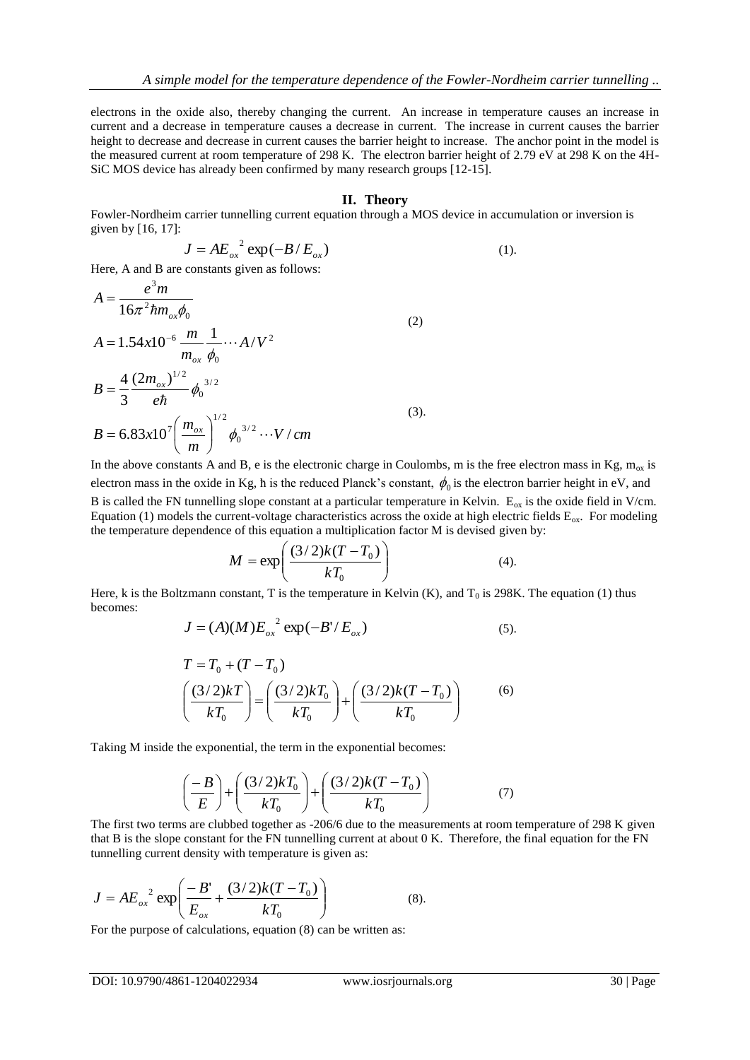electrons in the oxide also, thereby changing the current. An increase in temperature causes an increase in current and a decrease in temperature causes a decrease in current. The increase in current causes the barrier height to decrease and decrease in current causes the barrier height to increase. The anchor point in the model is the measured current at room temperature of 298 K. The electron barrier height of 2.79 eV at 298 K on the 4H-SiC MOS device has already been confirmed by many research groups [12-15].

#### **II. Theory**

Fowler-Nordheim carrier tunnelling current equation through a MOS device in accumulation or inversion is given by [16, 17]:

$$
J = AE_{ox}^{2} \exp(-B/E_{ox})
$$
 (1).

Here, A and B are constants given as follows:

$$
A = \frac{e^3 m}{16\pi^2 \hbar m_{ox} \phi_0}
$$
  
\n
$$
A = 1.54x10^{-6} \frac{m}{m_{ox}} \frac{1}{\phi_0} \cdots A/V^2
$$
  
\n
$$
B = \frac{4}{3} \frac{(2m_{ox})^{1/2}}{e\hbar} \phi_0^{3/2}
$$
  
\n
$$
B = 6.83x10^7 \left(\frac{m_{ox}}{m}\right)^{1/2} \phi_0^{3/2} \cdots V/cm
$$
  
\n(3).

In the above constants A and B, e is the electronic charge in Coulombs, m is the free electron mass in Kg,  $m_{ox}$  is electron mass in the oxide in Kg,  $\hbar$  is the reduced Planck's constant,  $\phi_0$  is the electron barrier height in eV, and B is called the FN tunnelling slope constant at a particular temperature in Kelvin.  $E_{ox}$  is the oxide field in V/cm. Equation (1) models the current-voltage characteristics across the oxide at high electric fields  $E_{ox}$ . For modeling the temperature dependence of this equation a multiplication factor M is devised given by:

$$
M = \exp\left(\frac{(3/2)k(T - T_0)}{kT_0}\right) \tag{4}
$$

Here, k is the Boltzmann constant, T is the temperature in Kelvin  $(K)$ , and  $T_0$  is 298K. The equation (1) thus becomes:

$$
J = (A)(M)E_{ox}^{2} \exp(-B'/E_{ox})
$$
\n<sup>(5)</sup>

$$
T = T_0 + (T - T_0)
$$
  

$$
\left(\frac{(3/2)kT}{kT_0}\right) = \left(\frac{(3/2)kT_0}{kT_0}\right) + \left(\frac{(3/2)k(T - T_0)}{kT_0}\right)
$$
 (6)

Taking M inside the exponential, the term in the exponential becomes:

$$
\left(\frac{-B}{E}\right) + \left(\frac{(3/2)kT_0}{kT_0}\right) + \left(\frac{(3/2)k(T - T_0)}{kT_0}\right) \tag{7}
$$

The first two terms are clubbed together as -206/6 due to the measurements at room temperature of 298 K given that B is the slope constant for the FN tunnelling current at about 0 K. Therefore, the final equation for the FN tunnelling current density with temperature is given as:

$$
J = AE_{ox}^{2} \exp\left(\frac{-B'}{E_{ox}} + \frac{(3/2)k(T - T_0)}{kT_0}\right)
$$
 (8).

For the purpose of calculations, equation (8) can be written as: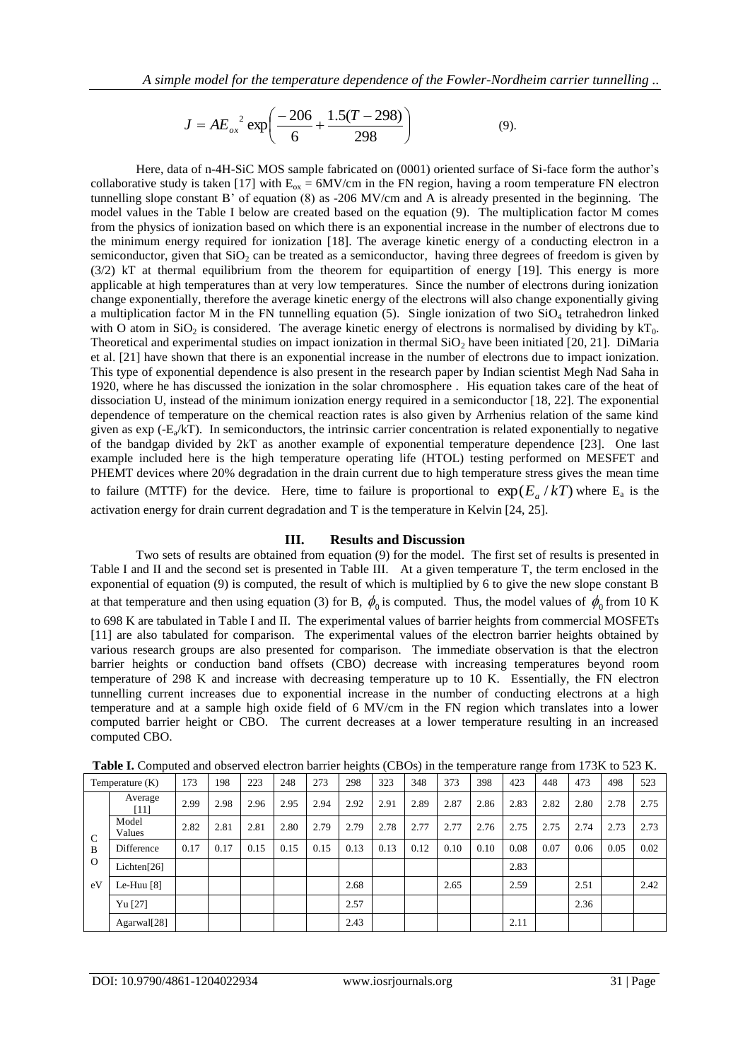$$
J = AE_{ox}^{2} \exp\left(\frac{-206}{6} + \frac{1.5(T - 298)}{298}\right)
$$
 (9).

Here, data of n-4H-SiC MOS sample fabricated on (0001) oriented surface of Si-face form the author's collaborative study is taken [17] with  $E_{ox} = 6MV/cm$  in the FN region, having a room temperature FN electron tunnelling slope constant B' of equation (8) as -206 MV/cm and A is already presented in the beginning. The model values in the Table I below are created based on the equation (9). The multiplication factor M comes from the physics of ionization based on which there is an exponential increase in the number of electrons due to the minimum energy required for ionization [18]. The average kinetic energy of a conducting electron in a semiconductor, given that  $SiO<sub>2</sub>$  can be treated as a semiconductor, having three degrees of freedom is given by (3/2) kT at thermal equilibrium from the theorem for equipartition of energy [19]. This energy is more applicable at high temperatures than at very low temperatures. Since the number of electrons during ionization change exponentially, therefore the average kinetic energy of the electrons will also change exponentially giving a multiplication factor M in the FN tunnelling equation (5). Single ionization of two  $SiO<sub>4</sub>$  tetrahedron linked with O atom in SiO<sub>2</sub> is considered. The average kinetic energy of electrons is normalised by dividing by  $kT_0$ . Theoretical and experimental studies on impact ionization in thermal  $SiO<sub>2</sub>$  have been initiated [20, 21]. DiMaria et al. [21] have shown that there is an exponential increase in the number of electrons due to impact ionization. This type of exponential dependence is also present in the research paper by Indian scientist Megh Nad Saha in 1920, where he has discussed the ionization in the solar chromosphere . His equation takes care of the heat of dissociation U, instead of the minimum ionization energy required in a semiconductor [18, 22]. The exponential dependence of temperature on the chemical reaction rates is also given by Arrhenius relation of the same kind given as  $exp(-E_a/kT)$ . In semiconductors, the intrinsic carrier concentration is related exponentially to negative of the bandgap divided by 2kT as another example of exponential temperature dependence [23]. One last example included here is the high temperature operating life (HTOL) testing performed on MESFET and PHEMT devices where 20% degradation in the drain current due to high temperature stress gives the mean time to failure (MTTF) for the device. Here, time to failure is proportional to  $\exp(E_a/kT)$  where  $E_a$  is the activation energy for drain current degradation and T is the temperature in Kelvin [24, 25].

## **III. Results and Discussion**

Two sets of results are obtained from equation (9) for the model. The first set of results is presented in Table I and II and the second set is presented in Table III. At a given temperature T, the term enclosed in the exponential of equation (9) is computed, the result of which is multiplied by 6 to give the new slope constant B at that temperature and then using equation (3) for B,  $\phi_0$  is computed. Thus, the model values of  $\phi_0$  from 10 K to 698 K are tabulated in Table I and II. The experimental values of barrier heights from commercial MOSFETs [11] are also tabulated for comparison. The experimental values of the electron barrier heights obtained by various research groups are also presented for comparison. The immediate observation is that the electron barrier heights or conduction band offsets (CBO) decrease with increasing temperatures beyond room temperature of 298 K and increase with decreasing temperature up to 10 K. Essentially, the FN electron tunnelling current increases due to exponential increase in the number of conducting electrons at a high temperature and at a sample high oxide field of 6 MV/cm in the FN region which translates into a lower computed barrier height or CBO. The current decreases at a lower temperature resulting in an increased computed CBO.

|                                      | $\overline{\phantom{a}}$ |      |      |      |      |      |      |      |      |      |      |      |      |      |      |      |
|--------------------------------------|--------------------------|------|------|------|------|------|------|------|------|------|------|------|------|------|------|------|
| Temperature $(K)$                    |                          | 173  | 198  | 223  | 248  | 273  | 298  | 323  | 348  | 373  | 398  | 423  | 448  | 473  | 498  | 523  |
|                                      | Average<br>[11]          | 2.99 | 2.98 | 2.96 | 2.95 | 2.94 | 2.92 | 2.91 | 2.89 | 2.87 | 2.86 | 2.83 | 2.82 | 2.80 | 2.78 | 2.75 |
| $\mathcal{C}$<br>B<br>$\Omega$<br>eV | Model<br>Values          | 2.82 | 2.81 | 2.81 | 2.80 | 2.79 | 2.79 | 2.78 | 2.77 | 2.77 | 2.76 | 2.75 | 2.75 | 2.74 | 2.73 | 2.73 |
|                                      | Difference               | 0.17 | 0.17 | 0.15 | 0.15 | 0.15 | 0.13 | 0.13 | 0.12 | 0.10 | 0.10 | 0.08 | 0.07 | 0.06 | 0.05 | 0.02 |
|                                      | Lichten <sup>[26]</sup>  |      |      |      |      |      |      |      |      |      |      | 2.83 |      |      |      |      |
|                                      | Le-Huu $[8]$             |      |      |      |      |      | 2.68 |      |      | 2.65 |      | 2.59 |      | 2.51 |      | 2.42 |
|                                      | Yu <sup>[27]</sup>       |      |      |      |      |      | 2.57 |      |      |      |      |      |      | 2.36 |      |      |
|                                      | Agarwal <sup>[28]</sup>  |      |      |      |      |      | 2.43 |      |      |      |      | 2.11 |      |      |      |      |

**Table I.** Computed and observed electron barrier heights (CBOs) in the temperature range from 173K to 523 K.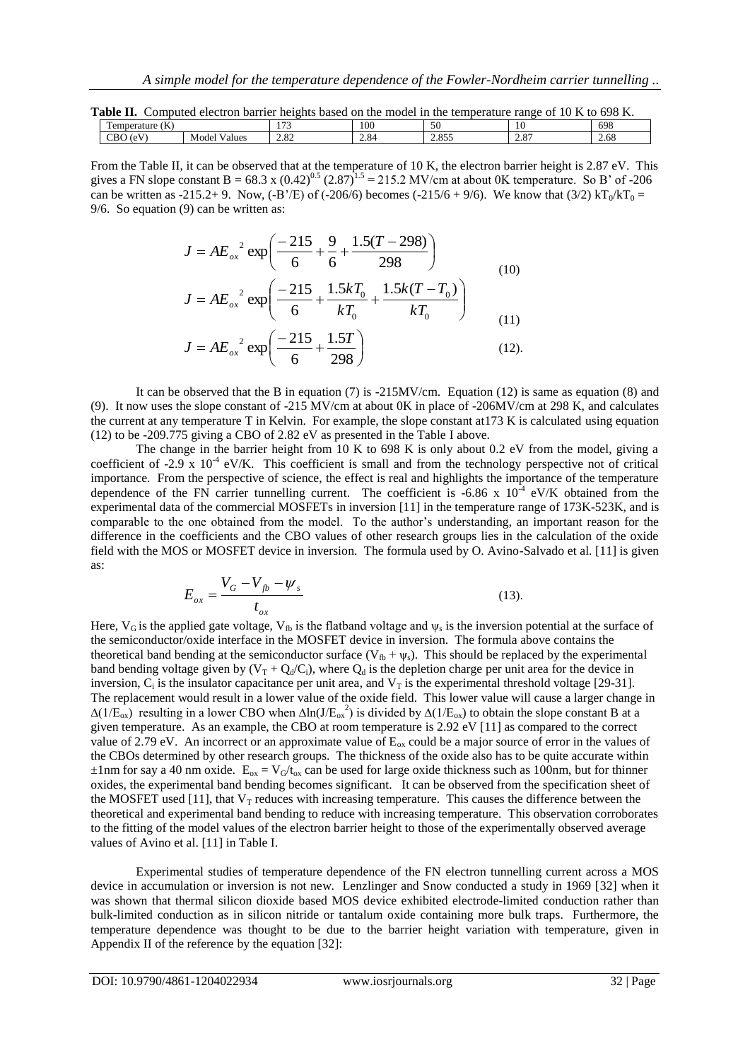|  | Table II. Computed electron barrier heights based on the model in the temperature range of 10 K to 698 K. |  |
|--|-----------------------------------------------------------------------------------------------------------|--|
|  |                                                                                                           |  |

| <b>Y</b> T<br>$\sim$ $ -$<br>CDO<br>$\sim$ $\sim$<br>$\Omega$<br>າດ<br>$\epsilon$<br>∽<br><br>(0)<br>Model<br>√alues<br>2.833<br>2.89<br>CBU<br>$\angle$ .0.<br>ے ں ک | $\sim$ $\sim$<br>$\sim$<br>v<br>Temperature<br>ιn | $\sim$ | 100 | $ -$<br>ЭU | 1 U | 698  |
|-----------------------------------------------------------------------------------------------------------------------------------------------------------------------|---------------------------------------------------|--------|-----|------------|-----|------|
|                                                                                                                                                                       |                                                   |        |     |            |     | 2.68 |

From the Table II, it can be observed that at the temperature of 10 K, the electron barrier height is 2.87 eV. This gives a FN slope constant B =  $68.3 \times (0.42)^{0.5}$  (2.87)<sup>1.5</sup> = 215.2 MV/cm at about 0K temperature. So B' of -206 can be written as -215.2+ 9. Now, (-B'/E) of (-206/6) becomes (-215/6 + 9/6). We know that (3/2) kT<sub>0</sub>/kT<sub>0</sub> = 9/6. So equation (9) can be written as:

$$
J = AE_{ox}^{2} \exp\left(\frac{-215}{6} + \frac{9}{6} + \frac{1.5(T - 298)}{298}\right)
$$
  
\n
$$
J = AE_{ox}^{2} \exp\left(\frac{-215}{6} + \frac{1.5kT_0}{kT_0} + \frac{1.5k(T - T_0)}{kT_0}\right)
$$
 (10)

$$
J = AE_{ox}^{2} \exp\left(\frac{-215}{6} + \frac{1.5T}{298}\right)
$$
 (12).

It can be observed that the B in equation (7) is  $-215MV/cm$ . Equation (12) is same as equation (8) and (9). It now uses the slope constant of -215 MV/cm at about 0K in place of -206MV/cm at 298 K, and calculates the current at any temperature T in Kelvin. For example, the slope constant at173 K is calculated using equation (12) to be -209.775 giving a CBO of 2.82 eV as presented in the Table I above.

The change in the barrier height from 10 K to 698 K is only about 0.2 eV from the model, giving a coefficient of  $-2.9 \times 10^{-4}$  eV/K. This coefficient is small and from the technology perspective not of critical importance. From the perspective of science, the effect is real and highlights the importance of the temperature dependence of the FN carrier tunnelling current. The coefficient is -6.86 x  $10^{-4}$  eV/K obtained from the experimental data of the commercial MOSFETs in inversion [11] in the temperature range of 173K-523K, and is comparable to the one obtained from the model. To the author's understanding, an important reason for the difference in the coefficients and the CBO values of other research groups lies in the calculation of the oxide field with the MOS or MOSFET device in inversion. The formula used by O. Avino-Salvado et al. [11] is given as:

$$
E_{ox} = \frac{V_G - V_{fb} - \psi_s}{t_{ox}}
$$
\n(13)

Here,  $V_G$  is the applied gate voltage,  $V_{fb}$  is the flatband voltage and  $\psi_s$  is the inversion potential at the surface of the semiconductor/oxide interface in the MOSFET device in inversion. The formula above contains the theoretical band bending at the semiconductor surface ( $V_{fb} + \psi_s$ ). This should be replaced by the experimental band bending voltage given by  $(V_T + Q_d/C_i)$ , where  $Q_d$  is the depletion charge per unit area for the device in inversion,  $C_i$  is the insulator capacitance per unit area, and  $V_T$  is the experimental threshold voltage [29-31]. The replacement would result in a lower value of the oxide field. This lower value will cause a larger change in  $\Delta(1/E_{ox})$  resulting in a lower CBO when  $\Delta \ln(J/E_{ox}^2)$  is divided by  $\Delta(1/E_{ox})$  to obtain the slope constant B at a given temperature. As an example, the CBO at room temperature is 2.92 eV [11] as compared to the correct value of 2.79 eV. An incorrect or an approximate value of  $E_{ox}$  could be a major source of error in the values of the CBOs determined by other research groups. The thickness of the oxide also has to be quite accurate within  $\pm 1$ nm for say a 40 nm oxide. E<sub>ox</sub> = V<sub>G</sub>/t<sub>ox</sub> can be used for large oxide thickness such as 100nm, but for thinner oxides, the experimental band bending becomes significant. It can be observed from the specification sheet of the MOSFET used [11], that  $V_T$  reduces with increasing temperature. This causes the difference between the theoretical and experimental band bending to reduce with increasing temperature. This observation corroborates to the fitting of the model values of the electron barrier height to those of the experimentally observed average values of Avino et al. [11] in Table I.

Experimental studies of temperature dependence of the FN electron tunnelling current across a MOS device in accumulation or inversion is not new. Lenzlinger and Snow conducted a study in 1969 [32] when it was shown that thermal silicon dioxide based MOS device exhibited electrode-limited conduction rather than bulk-limited conduction as in silicon nitride or tantalum oxide containing more bulk traps. Furthermore, the temperature dependence was thought to be due to the barrier height variation with temperature, given in Appendix II of the reference by the equation [32]: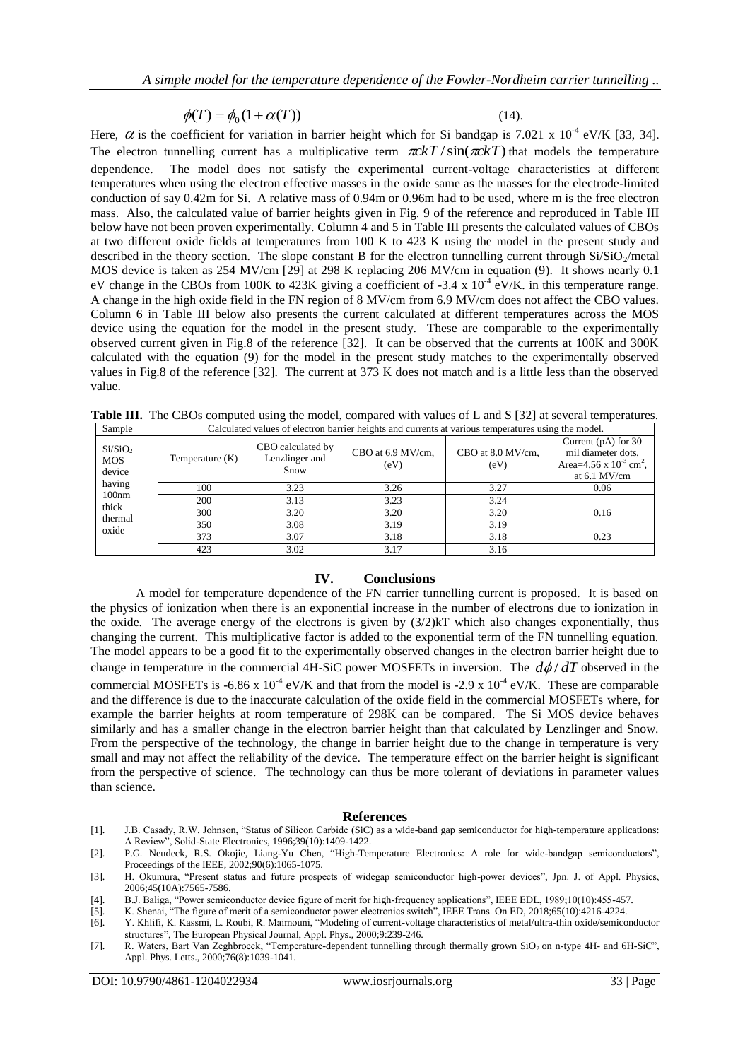$$
\phi(T) = \phi_0(1 + \alpha(T))
$$

(14).

Here,  $\alpha$  is the coefficient for variation in barrier height which for Si bandgap is 7.021 x 10<sup>-4</sup> eV/K [33, 34]. The electron tunnelling current has a multiplicative term  $\pi c kT / \sin(\pi c kT)$  that models the temperature dependence. The model does not satisfy the experimental current-voltage characteristics at different temperatures when using the electron effective masses in the oxide same as the masses for the electrode-limited conduction of say 0.42m for Si. A relative mass of 0.94m or 0.96m had to be used, where m is the free electron mass. Also, the calculated value of barrier heights given in Fig. 9 of the reference and reproduced in Table III below have not been proven experimentally. Column 4 and 5 in Table III presents the calculated values of CBOs at two different oxide fields at temperatures from 100 K to 423 K using the model in the present study and described in the theory section. The slope constant B for the electron tunnelling current through  $Si/SiO<sub>2</sub>/metal$ MOS device is taken as 254 MV/cm [29] at 298 K replacing 206 MV/cm in equation (9). It shows nearly 0.1 eV change in the CBOs from 100K to 423K giving a coefficient of -3.4 x  $10^{-4}$  eV/K. in this temperature range. A change in the high oxide field in the FN region of 8 MV/cm from 6.9 MV/cm does not affect the CBO values. Column 6 in Table III below also presents the current calculated at different temperatures across the MOS device using the equation for the model in the present study. These are comparable to the experimentally observed current given in Fig.8 of the reference [32]. It can be observed that the currents at 100K and 300K calculated with the equation (9) for the model in the present study matches to the experimentally observed values in Fig.8 of the reference [32]. The current at 373 K does not match and is a little less than the observed value.

| Sample                                      | Calculated values of electron barrier heights and currents at various temperatures using the model. |                                             |                           |                           |                                                                                                          |  |  |  |  |
|---------------------------------------------|-----------------------------------------------------------------------------------------------------|---------------------------------------------|---------------------------|---------------------------|----------------------------------------------------------------------------------------------------------|--|--|--|--|
| Si/SiO <sub>2</sub><br><b>MOS</b><br>device | Temperature (K)                                                                                     | CBO calculated by<br>Lenzlinger and<br>Snow | CBO at 6.9 MV/cm,<br>(eV) | CBO at 8.0 MV/cm,<br>(eV) | Current $(pA)$ for 30<br>mil diameter dots.<br>Area=4.56 x $10^{-3}$ cm <sup>2</sup> ,<br>at $6.1$ MV/cm |  |  |  |  |
| having                                      | 100                                                                                                 | 3.23                                        | 3.26                      | 3.27                      | 0.06                                                                                                     |  |  |  |  |
| 100nm<br>thick                              | 200                                                                                                 | 3.13                                        | 3.23                      | 3.24                      |                                                                                                          |  |  |  |  |
| thermal                                     | 300                                                                                                 | 3.20                                        | 3.20                      | 3.20                      | 0.16                                                                                                     |  |  |  |  |
| oxide                                       | 350                                                                                                 | 3.08                                        | 3.19                      | 3.19                      |                                                                                                          |  |  |  |  |
|                                             | $\sim$ $\sim$ $\sim$                                                                                | $\sim$ $\sim$                               | $\sim$ $\sim$             | $\sim$ $\sim$             | $\sim$ $\sim$                                                                                            |  |  |  |  |

**Table III.** The CBOs computed using the model, compared with values of L and S [32] at several temperatures.

#### **IV. Conclusions**

423 | 3.02 | 3.17 | 3.16

373 3.07 3.18 3.18 0.23

A model for temperature dependence of the FN carrier tunnelling current is proposed. It is based on the physics of ionization when there is an exponential increase in the number of electrons due to ionization in the oxide. The average energy of the electrons is given by (3/2)kT which also changes exponentially, thus changing the current. This multiplicative factor is added to the exponential term of the FN tunnelling equation. The model appears to be a good fit to the experimentally observed changes in the electron barrier height due to change in temperature in the commercial 4H-SiC power MOSFETs in inversion. The  $d\phi/dT$  observed in the commercial MOSFETs is -6.86 x  $10^{-4}$  eV/K and that from the model is -2.9 x  $10^{-4}$  eV/K. These are comparable and the difference is due to the inaccurate calculation of the oxide field in the commercial MOSFETs where, for example the barrier heights at room temperature of 298K can be compared. The Si MOS device behaves similarly and has a smaller change in the electron barrier height than that calculated by Lenzlinger and Snow. From the perspective of the technology, the change in barrier height due to the change in temperature is very small and may not affect the reliability of the device. The temperature effect on the barrier height is significant from the perspective of science. The technology can thus be more tolerant of deviations in parameter values than science.

#### **References**

- [1]. J.B. Casady, R.W. Johnson, "Status of Silicon Carbide (SiC) as a wide-band gap semiconductor for high-temperature applications: A Review", Solid-State Electronics, 1996;39(10):1409-1422.
- [2]. P.G. Neudeck, R.S. Okojie, Liang-Yu Chen, "High-Temperature Electronics: A role for wide-bandgap semiconductors", Proceedings of the IEEE, 2002;90(6):1065-1075.
- [3]. H. Okumura, "Present status and future prospects of widegap semiconductor high-power devices", Jpn. J. of Appl. Physics, 2006;45(10A):7565-7586.
- [4]. B.J. Baliga, "Power semiconductor device figure of merit for high-frequency applications", IEEE EDL, 1989;10(10):455-457.
- [5]. K. Shenai, "The figure of merit of a semiconductor power electronics switch", IEEE Trans. On ED, 2018;65(10):4216-4224.
- [6]. Y. Khlifi, K. Kassmi, L. Roubi, R. Maimouni, "Modeling of current-voltage characteristics of metal/ultra-thin oxide/semiconductor structures", The European Physical Journal, Appl. Phys., 2000;9:239-246.
- [7]. R. Waters, Bart Van Zeghbroeck, "Temperature-dependent tunnelling through thermally grown SiO2 on n-type 4H- and 6H-SiC", Appl. Phys. Letts., 2000;76(8):1039-1041.